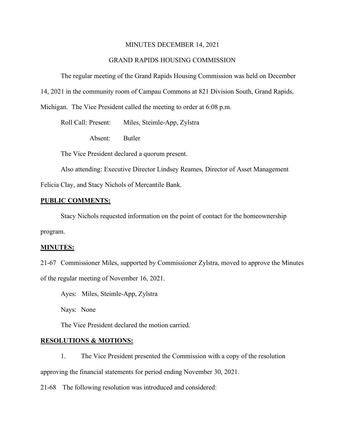#### MINUTES DECEMBER 14, 2021

### GRAND RAPIDS HOUSING COMMISSION

The regular meeting of the Grand Rapids Housing Commission was held on December

14, 2021 in the community room of Campau Commons at 821 Division South, Grand Rapids,

Michigan. The Vice President called the meeting to order at 6:08 p.m.

Roll Call: Present: Miles, Steimle-App, Zylstra

Absent: Butler

The Vice President declared a quorum present.

Also attending: Executive Director Lindsey Reames, Director of Asset Management

Felicia Clay, and Stacy Nichols of Mercantile Bank.

#### **PUBLIC COMMENTS:**

Stacy Nichols requested information on the point of contact for the homeownership program.

#### **MINUTES:**

21-67 Commissioner Miles, supported by Commissioner Zylstra, moved to approve the Minutes of the regular meeting of November 16, 2021.

Ayes: Miles, Steimle-App, Zylstra

Nays: None

The Vice President declared the motion carried.

#### **RESOLUTIONS & MOTIONS:**

1. The Vice President presented the Commission with a copy of the resolution approving the financial statements for period ending November 30, 2021.

21-68 The following resolution was introduced and considered: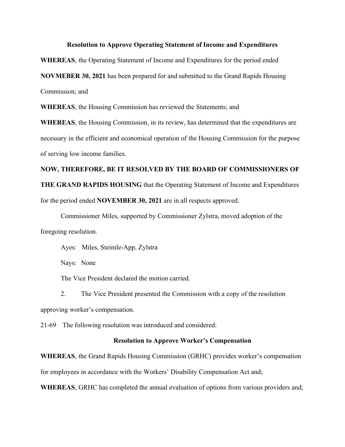#### **Resolution to Approve Operating Statement of Income and Expenditures**

**WHEREAS**, the Operating Statement of Income and Expenditures for the period ended

**NOVMEBER 30, 2021** has been prepared for and submitted to the Grand Rapids Housing

Commission; and

**WHEREAS**, the Housing Commission has reviewed the Statements; and

**WHEREAS**, the Housing Commission, in its review, has determined that the expenditures are necessary in the efficient and economical operation of the Housing Commission for the purpose of serving low income families.

# **NOW, THEREFORE, BE IT RESOLVED BY THE BOARD OF COMMISSIONERS OF**

**THE GRAND RAPIDS HOUSING** that the Operating Statement of Income and Expenditures

for the period ended **NOVEMBER 30, 2021** are in all respects approved.

Commissioner Miles, supported by Commissioner Zylstra, moved adoption of the foregoing resolution.

Ayes: Miles, Steimle-App, Zylstra

Nays: None

The Vice President declared the motion carried.

2. The Vice President presented the Commission with a copy of the resolution approving worker's compensation.

21-69 The following resolution was introduced and considered:

#### **Resolution to Approve Worker's Compensation**

**WHEREAS**, the Grand Rapids Housing Commission (GRHC) provides worker's compensation for employees in accordance with the Workers' Disability Compensation Act and;

**WHEREAS**, GRHC has completed the annual evaluation of options from various providers and;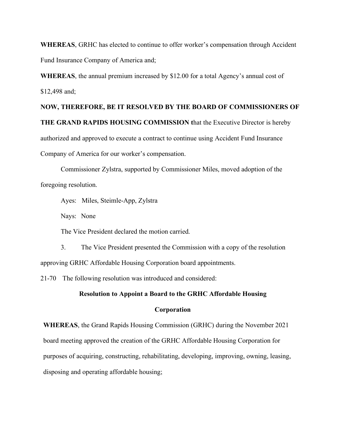**WHEREAS**, GRHC has elected to continue to offer worker's compensation through Accident Fund Insurance Company of America and;

**WHEREAS**, the annual premium increased by \$12.00 for a total Agency's annual cost of \$12,498 and;

**NOW, THEREFORE, BE IT RESOLVED BY THE BOARD OF COMMISSIONERS OF THE GRAND RAPIDS HOUSING COMMISSION t**hat the Executive Director is hereby authorized and approved to execute a contract to continue using Accident Fund Insurance Company of America for our worker's compensation.

Commissioner Zylstra, supported by Commissioner Miles, moved adoption of the foregoing resolution.

Ayes: Miles, Steimle-App, Zylstra

Nays: None

The Vice President declared the motion carried.

3. The Vice President presented the Commission with a copy of the resolution approving GRHC Affordable Housing Corporation board appointments.

21-70 The following resolution was introduced and considered:

#### **Resolution to Appoint a Board to the GRHC Affordable Housing**

#### **Corporation**

**WHEREAS**, the Grand Rapids Housing Commission (GRHC) during the November 2021 board meeting approved the creation of the GRHC Affordable Housing Corporation for purposes of acquiring, constructing, rehabilitating, developing, improving, owning, leasing, disposing and operating affordable housing;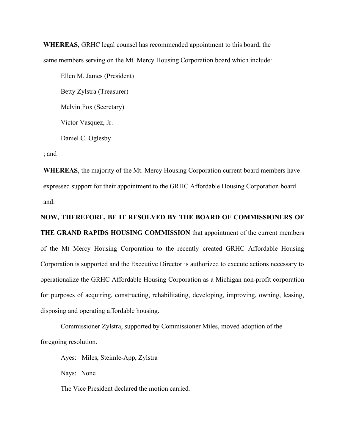**WHEREAS**, GRHC legal counsel has recommended appointment to this board, the same members serving on the Mt. Mercy Housing Corporation board which include:

Ellen M. James (President) Betty Zylstra (Treasurer) Melvin Fox (Secretary) Victor Vasquez, Jr. Daniel C. Oglesby

; and

**WHEREAS**, the majority of the Mt. Mercy Housing Corporation current board members have expressed support for their appointment to the GRHC Affordable Housing Corporation board and:

**NOW, THEREFORE, BE IT RESOLVED BY THE BOARD OF COMMISSIONERS OF THE GRAND RAPIDS HOUSING COMMISSION** that appointment of the current members of the Mt Mercy Housing Corporation to the recently created GRHC Affordable Housing Corporation is supported and the Executive Director is authorized to execute actions necessary to operationalize the GRHC Affordable Housing Corporation as a Michigan non-profit corporation for purposes of acquiring, constructing, rehabilitating, developing, improving, owning, leasing, disposing and operating affordable housing.

Commissioner Zylstra, supported by Commissioner Miles, moved adoption of the foregoing resolution.

Ayes: Miles, Steimle-App, Zylstra

Nays: None

The Vice President declared the motion carried.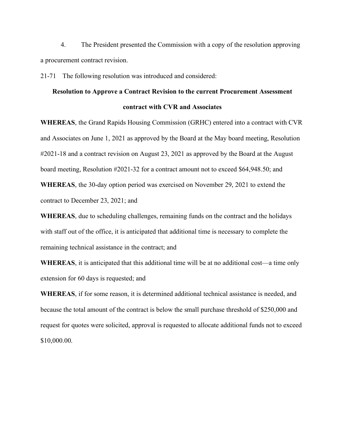4. The President presented the Commission with a copy of the resolution approving a procurement contract revision.

21-71 The following resolution was introduced and considered:

# **Resolution to Approve a Contract Revision to the current Procurement Assessment contract with CVR and Associates**

**WHEREAS**, the Grand Rapids Housing Commission (GRHC) entered into a contract with CVR and Associates on June 1, 2021 as approved by the Board at the May board meeting, Resolution #2021-18 and a contract revision on August 23, 2021 as approved by the Board at the August board meeting, Resolution #2021-32 for a contract amount not to exceed \$64,948.50; and

**WHEREAS**, the 30-day option period was exercised on November 29, 2021 to extend the contract to December 23, 2021; and

**WHEREAS**, due to scheduling challenges, remaining funds on the contract and the holidays with staff out of the office, it is anticipated that additional time is necessary to complete the remaining technical assistance in the contract; and

**WHEREAS**, it is anticipated that this additional time will be at no additional cost—a time only extension for 60 days is requested; and

**WHEREAS**, if for some reason, it is determined additional technical assistance is needed, and because the total amount of the contract is below the small purchase threshold of \$250,000 and request for quotes were solicited, approval is requested to allocate additional funds not to exceed \$10,000.00.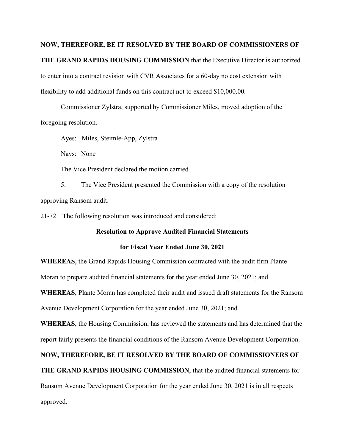# **NOW, THEREFORE, BE IT RESOLVED BY THE BOARD OF COMMISSIONERS OF THE GRAND RAPIDS HOUSING COMMISSION** that the Executive Director is authorized to enter into a contract revision with CVR Associates for a 60-day no cost extension with flexibility to add additional funds on this contract not to exceed \$10,000.00.

Commissioner Zylstra, supported by Commissioner Miles, moved adoption of the foregoing resolution.

Ayes: Miles, Steimle-App, Zylstra

Nays: None

The Vice President declared the motion carried.

5. The Vice President presented the Commission with a copy of the resolution approving Ransom audit.

21-72 The following resolution was introduced and considered:

#### **Resolution to Approve Audited Financial Statements**

#### **for Fiscal Year Ended June 30, 2021**

**WHEREAS**, the Grand Rapids Housing Commission contracted with the audit firm Plante Moran to prepare audited financial statements for the year ended June 30, 2021; and **WHEREAS**, Plante Moran has completed their audit and issued draft statements for the Ransom

Avenue Development Corporation for the year ended June 30, 2021; and

**WHEREAS**, the Housing Commission, has reviewed the statements and has determined that the report fairly presents the financial conditions of the Ransom Avenue Development Corporation.

## **NOW, THEREFORE, BE IT RESOLVED BY THE BOARD OF COMMISSIONERS OF**

**THE GRAND RAPIDS HOUSING COMMISSION**, that the audited financial statements for

Ransom Avenue Development Corporation for the year ended June 30, 2021 is in all respects

approved.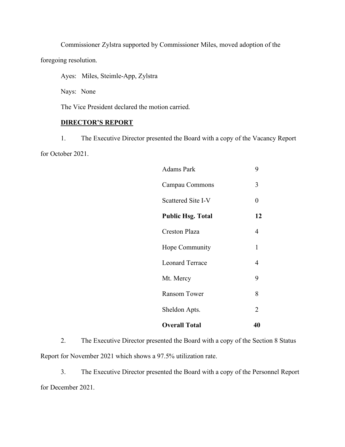Commissioner Zylstra supported by Commissioner Miles, moved adoption of the

foregoing resolution.

Ayes: Miles, Steimle-App, Zylstra

Nays: None

The Vice President declared the motion carried.

# **DIRECTOR'S REPORT**

1. The Executive Director presented the Board with a copy of the Vacancy Report for October 2021.

| Adams Park                | 9              |
|---------------------------|----------------|
| Campau Commons            | 3              |
| <b>Scattered Site I-V</b> | $\overline{0}$ |
| <b>Public Hsg. Total</b>  | 12             |
| <b>Creston Plaza</b>      | 4              |
| Hope Community            | 1              |
| <b>Leonard Terrace</b>    | 4              |
| Mt. Mercy                 | 9              |
| <b>Ransom Tower</b>       | 8              |
| Sheldon Apts.             | $\overline{2}$ |
| <b>Overall Total</b>      | 40             |

2. The Executive Director presented the Board with a copy of the Section 8 Status Report for November 2021 which shows a 97.5% utilization rate.

3. The Executive Director presented the Board with a copy of the Personnel Report for December 2021.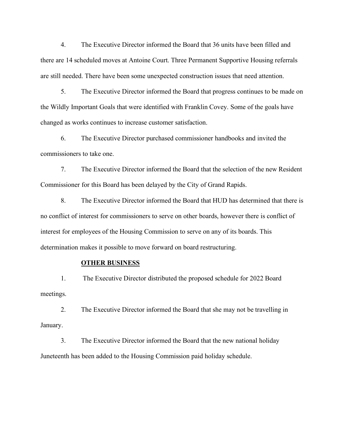4. The Executive Director informed the Board that 36 units have been filled and there are 14 scheduled moves at Antoine Court. Three Permanent Supportive Housing referrals are still needed. There have been some unexpected construction issues that need attention.

5. The Executive Director informed the Board that progress continues to be made on the Wildly Important Goals that were identified with Franklin Covey. Some of the goals have changed as works continues to increase customer satisfaction.

6. The Executive Director purchased commissioner handbooks and invited the commissioners to take one.

7. The Executive Director informed the Board that the selection of the new Resident Commissioner for this Board has been delayed by the City of Grand Rapids.

8. The Executive Director informed the Board that HUD has determined that there is no conflict of interest for commissioners to serve on other boards, however there is conflict of interest for employees of the Housing Commission to serve on any of its boards. This determination makes it possible to move forward on board restructuring.

#### **OTHER BUSINESS**

1. The Executive Director distributed the proposed schedule for 2022 Board meetings.

2. The Executive Director informed the Board that she may not be travelling in January.

3. The Executive Director informed the Board that the new national holiday Juneteenth has been added to the Housing Commission paid holiday schedule.